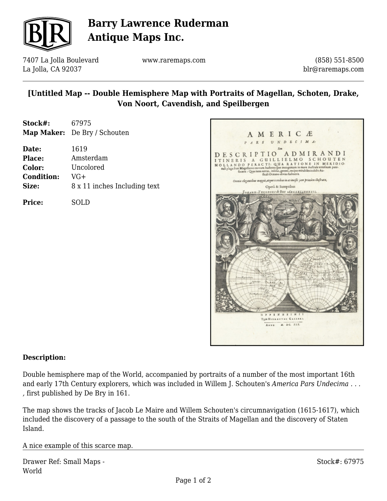

# **Barry Lawrence Ruderman Antique Maps Inc.**

7407 La Jolla Boulevard La Jolla, CA 92037

www.raremaps.com

(858) 551-8500 blr@raremaps.com

### **[Untitled Map -- Double Hemisphere Map with Portraits of Magellan, Schoten, Drake, Von Noort, Cavendish, and Speilbergen**

| Stock#: | 67975                        |
|---------|------------------------------|
|         | Map Maker: De Bry / Schouten |

| Date:             | 1619                         |
|-------------------|------------------------------|
| <b>Place:</b>     | Amsterdam                    |
| Color:            | Uncolored                    |
| <b>Condition:</b> | VG+                          |
| Size:             | 8 x 11 inches Including text |
|                   |                              |

**Price:** SOLD



#### **Description:**

Double hemisphere map of the World, accompanied by portraits of a number of the most important 16th and early 17th Century explorers, which was included in Willem J. Schouten's *America Pars Undecima . . . ,* first published by De Bry in 161.

The map shows the tracks of Jacob Le Maire and Willem Schouten's circumnavigation (1615-1617), which included the discovery of a passage to the south of the Straits of Magellan and the discovery of Staten Island.

A nice example of this scarce map.

|       | Drawer Ref: Small Maps - |
|-------|--------------------------|
| World |                          |

Stock#: 67975